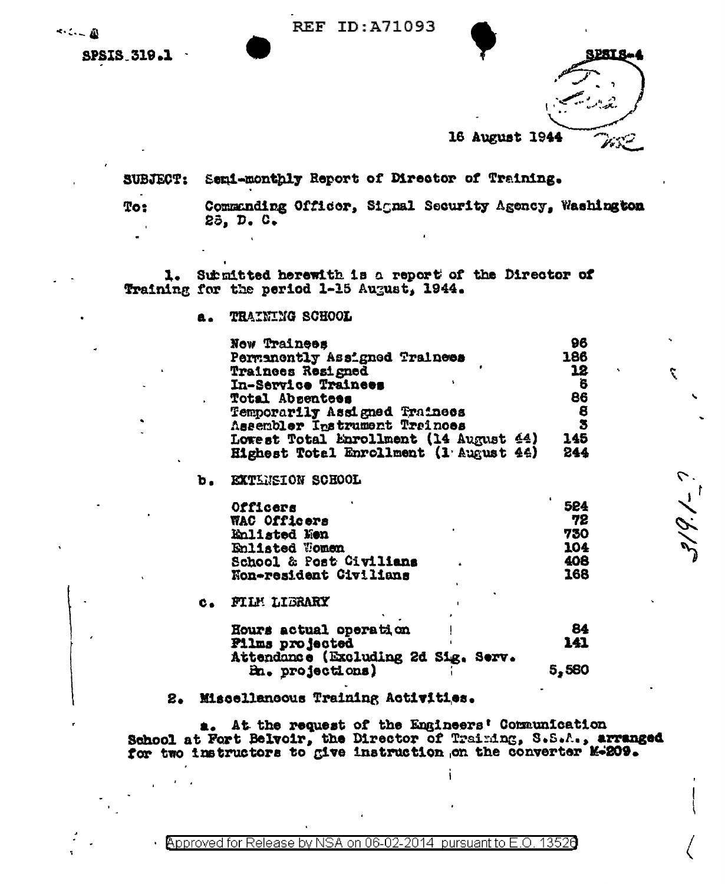**REF ID:A71093** 

べいこ面

SPSIS 319.1

|                | <b>SIS-4</b> |  |
|----------------|--------------|--|
|                | ÷.           |  |
|                |              |  |
| 16 August 1944 |              |  |

SUBJECT: Semi-monthly Report of Director of Training.

Commanding Officer, Signal Security Agency, Washington To: 25, D. C.

Submitted herewith is a report of the Director of 1. Training for the period 1-15 August, 1944.

> TRAINING SCHOOL **a.**

> > Now Trainees 96 Permanently Assigned Trainees 186 Trainees Resigned 12 In-Service Trainees 6 86 Total Absentees Temporarily Assigned Trainees<br>Assembler Instrument Trainees 8  $\mathbf{3}$ Lowest Total Enrollment (14 August 44) 145 Highest Total Enrollment (1 August 44) 244

**EXTLUSION SCHOOL** Ъ.

| Officers                |   | 524 |
|-------------------------|---|-----|
| WAC Officers            |   | 72  |
| Enlisted Men            |   | 730 |
| Enlisted Women          |   | 104 |
| School & Post Civilians | ٠ | 406 |
| Non-resident Civilians  |   | 168 |
|                         |   |     |

FILM LIBRARY

| Hours actual operation<br><b>Pilms</b> projected        |  | 84.<br>141 |
|---------------------------------------------------------|--|------------|
| Attendance (Excluding 2d Sig. Serv.<br>En. projections) |  | 5,580      |

## Miscellaneous Training Activities. 2.

a. At the request of the Engineers' Communication School at Fort Belvoir, the Director of Training, S.S.A., arranged for two instructors to give instruction on the converter M-209.

Approved for Release by NSA on 06-02-2014 pursuant to E.O. 13526

 $\mathbf{r}$